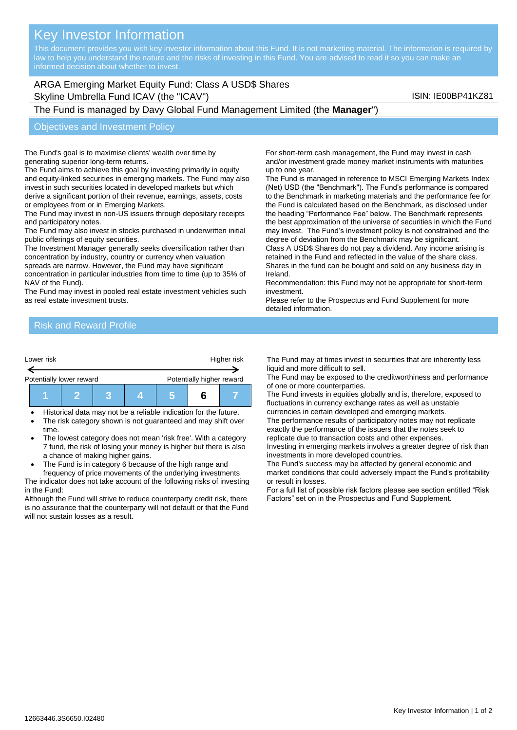# Key Investor Information

This document provides you with key investor information about this Fund. It is not marketing material. The information is required by law to help you understand the nature and the risks of investing in this Fund. You are advised to read it so you can make an

## ARGA Emerging Market Equity Fund: Class A USD\$ Shares Skyline Umbrella Fund ICAV (the "ICAV") Skyline Umbrella Fund ICAV (the "ICAV") Skyline Umbrella Fund ICAV (the  $\sim$

The Fund is managed by Davy Global Fund Management Limited (the **Manager**")

#### Objectives and Investment Policy

The Fund's goal is to maximise clients' wealth over time by generating superior long-term returns.

The Fund aims to achieve this goal by investing primarily in equity and equity-linked securities in emerging markets. The Fund may also invest in such securities located in developed markets but which derive a significant portion of their revenue, earnings, assets, costs or employees from or in Emerging Markets.

The Fund may invest in non-US issuers through depositary receipts and participatory notes.

The Fund may also invest in stocks purchased in underwritten initial public offerings of equity securities.

The Investment Manager generally seeks diversification rather than concentration by industry, country or currency when valuation spreads are narrow. However, the Fund may have significant

concentration in particular industries from time to time (up to 35% of NAV of the Fund).

The Fund may invest in pooled real estate investment vehicles such as real estate investment trusts.

For short-term cash management, the Fund may invest in cash and/or investment grade money market instruments with maturities up to one year.

The Fund is managed in reference to MSCI Emerging Markets Index (Net) USD (the "Benchmark"). The Fund's performance is compared to the Benchmark in marketing materials and the performance fee for the Fund is calculated based on the Benchmark, as disclosed under the heading "Performance Fee" below. The Benchmark represents the best approximation of the universe of securities in which the Fund may invest. The Fund's investment policy is not constrained and the degree of deviation from the Benchmark may be significant.

Class A USD\$ Shares do not pay a dividend. Any income arising is retained in the Fund and reflected in the value of the share class. Shares in the fund can be bought and sold on any business day in Ireland.

Recommendation: this Fund may not be appropriate for short-term investment.

Please refer to the Prospectus and Fund Supplement for more detailed information.

#### Risk and Reward Profile

| Lower risk |                          | Higher risk |                           |  |  |  |
|------------|--------------------------|-------------|---------------------------|--|--|--|
|            | Potentially lower reward |             | Potentially higher reward |  |  |  |
|            |                          |             |                           |  |  |  |

• Historical data may not be a reliable indication for the future.

- The risk category shown is not guaranteed and may shift over time.
- The lowest category does not mean 'risk free'. With a category 7 fund, the risk of losing your money is higher but there is also a chance of making higher gains.
- The Fund is in category 6 because of the high range and

frequency of price movements of the underlying investments The indicator does not take account of the following risks of investing in the Fund:

Although the Fund will strive to reduce counterparty credit risk, there is no assurance that the counterparty will not default or that the Fund will not sustain losses as a result.

The Fund may at times invest in securities that are inherently less liquid and more difficult to sell.

The Fund may be exposed to the creditworthiness and performance of one or more counterparties.

The Fund invests in equities globally and is, therefore, exposed to fluctuations in currency exchange rates as well as unstable currencies in certain developed and emerging markets.

The performance results of participatory notes may not replicate exactly the performance of the issuers that the notes seek to replicate due to transaction costs and other expenses.

Investing in emerging markets involves a greater degree of risk than investments in more developed countries.

The Fund's success may be affected by general economic and market conditions that could adversely impact the Fund's profitability or result in losses.

For a full list of possible risk factors please see section entitled "Risk Factors" set on in the Prospectus and Fund Supplement.